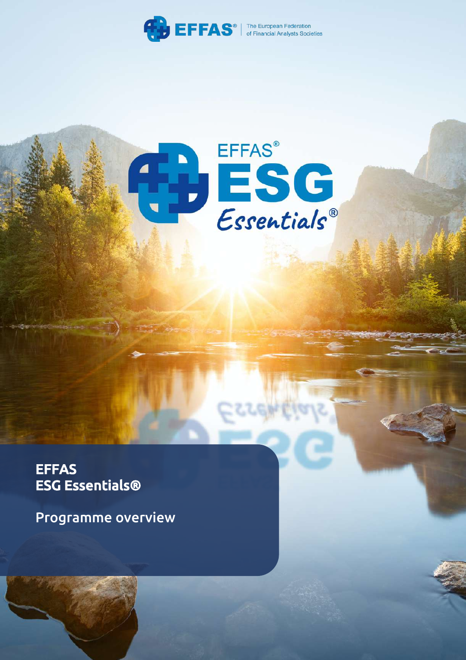

# ESC

**ESG Essentials® Programme Overview** Page | **1**

**EFFAS** ESG Essentials®

Programme overview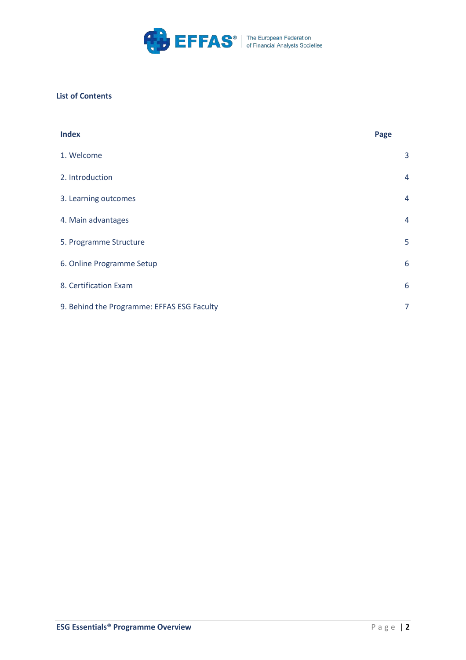

# **List of Contents**

| <b>Index</b>                               | Page |                |
|--------------------------------------------|------|----------------|
| 1. Welcome                                 |      | 3              |
| 2. Introduction                            |      | $\overline{4}$ |
| 3. Learning outcomes                       |      | $\overline{4}$ |
| 4. Main advantages                         |      | 4              |
| 5. Programme Structure                     |      | 5              |
| 6. Online Programme Setup                  |      | 6              |
| 8. Certification Exam                      |      | 6              |
| 9. Behind the Programme: EFFAS ESG Faculty |      | 7              |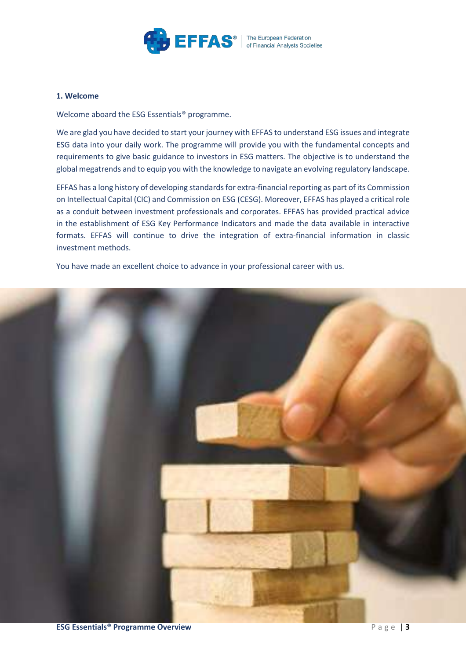

# **1. Welcome**

Welcome aboard the ESG Essentials<sup>®</sup> programme.

We are glad you have decided to start your journey with EFFAS to understand ESG issues and integrate ESG data into your daily work. The programme will provide you with the fundamental concepts and requirements to give basic guidance to investors in ESG matters. The objective is to understand the global megatrends and to equip you with the knowledge to navigate an evolving regulatory landscape.

EFFAS has a long history of developing standards for extra-financial reporting as part of its Commission on Intellectual Capital (CIC) and Commission on ESG (CESG). Moreover, EFFAS has played a critical role as a conduit between investment professionals and corporates. EFFAS has provided practical advice in the establishment of ESG Key Performance Indicators and made the data available in interactive formats. EFFAS will continue to drive the integration of extra-financial information in classic investment methods.

You have made an excellent choice to advance in your professional career with us.

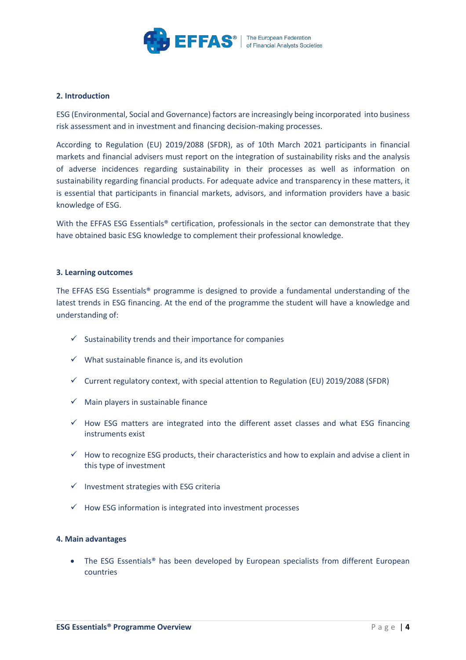

# **2. Introduction**

ESG (Environmental, Social and Governance) factors are increasingly being incorporated into business risk assessment and in investment and financing decision-making processes.

According to Regulation (EU) 2019/2088 (SFDR), as of 10th March 2021 participants in financial markets and financial advisers must report on the integration of sustainability risks and the analysis of adverse incidences regarding sustainability in their processes as well as information on sustainability regarding financial products. For adequate advice and transparency in these matters, it is essential that participants in financial markets, advisors, and information providers have a basic knowledge of ESG.

With the EFFAS ESG Essentials® certification, professionals in the sector can demonstrate that they have obtained basic ESG knowledge to complement their professional knowledge.

# **3. Learning outcomes**

The EFFAS ESG Essentials® programme is designed to provide a fundamental understanding of the latest trends in ESG financing. At the end of the programme the student will have a knowledge and understanding of:

- $\checkmark$  Sustainability trends and their importance for companies
- $\checkmark$  What sustainable finance is, and its evolution
- $\checkmark$  Current regulatory context, with special attention to Regulation (EU) 2019/2088 (SFDR)
- $\checkmark$  Main players in sustainable finance
- $\checkmark$  How ESG matters are integrated into the different asset classes and what ESG financing instruments exist
- $\checkmark$  How to recognize ESG products, their characteristics and how to explain and advise a client in this type of investment
- $\nu$  Investment strategies with ESG criteria
- $\checkmark$  How ESG information is integrated into investment processes

# **4. Main advantages**

The ESG Essentials<sup>®</sup> has been developed by European specialists from different European countries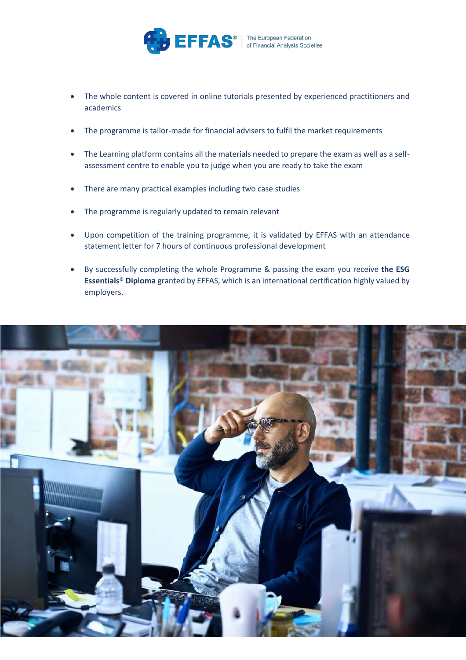

- The whole content is covered in online tutorials presented by experienced practitioners and academics
- The programme is tailor-made for financial advisers to fulfil the market requirements
- The Learning platform contains all the materials needed to prepare the exam as well as a selfassessment centre to enable you to judge when you are ready to take the exam
- There are many practical examples including two case studies
- The programme is regularly updated to remain relevant
- Upon competition of the training programme, it is validated by EFFAS with an attendance statement letter for 7 hours of continuous professional development
- By successfully completing the whole Programme & passing the exam you receive **the ESG Essentials® Diploma** granted by EFFAS, which is an international certification highly valued by employers.

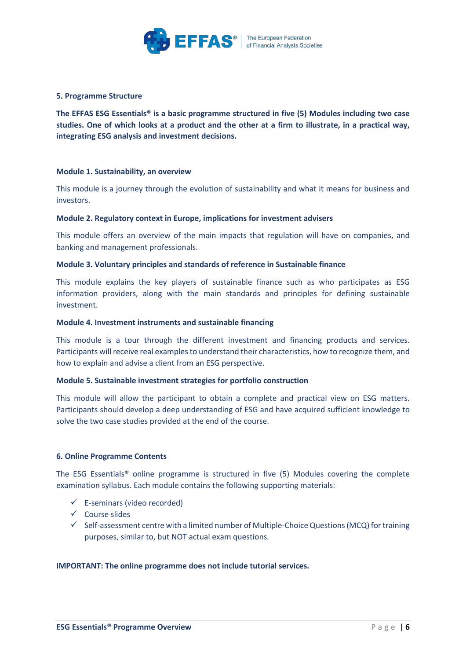

# **5. Programme Structure**

**The EFFAS ESG Essentials® is a basic programme structured in five (5) Modules including two case studies. One of which looks at a product and the other at a firm to illustrate, in a practical way, integrating ESG analysis and investment decisions.**

# **Module 1. Sustainability, an overview**

This module is a journey through the evolution of sustainability and what it means for business and investors.

# **Module 2. Regulatory context in Europe, implications for investment advisers**

This module offers an overview of the main impacts that regulation will have on companies, and banking and management professionals.

# **Module 3. Voluntary principles and standards of reference in Sustainable finance**

This module explains the key players of sustainable finance such as who participates as ESG information providers, along with the main standards and principles for defining sustainable investment.

# **Module 4. Investment instruments and sustainable financing**

This module is a tour through the different investment and financing products and services. Participants will receive real examples to understand their characteristics, how to recognize them, and how to explain and advise a client from an ESG perspective.

# **Module 5. Sustainable investment strategies for portfolio construction**

This module will allow the participant to obtain a complete and practical view on ESG matters. Participants should develop a deep understanding of ESG and have acquired sufficient knowledge to solve the two case studies provided at the end of the course.

# **6. Online Programme Contents**

The ESG Essentials® online programme is structured in five (5) Modules covering the complete examination syllabus. Each module contains the following supporting materials:

- $\checkmark$  E-seminars (video recorded)
- $\checkmark$  Course slides
- $\checkmark$  Self-assessment centre with a limited number of Multiple-Choice Questions (MCQ) for training purposes, similar to, but NOT actual exam questions.

# **IMPORTANT: The online programme does not include tutorial services.**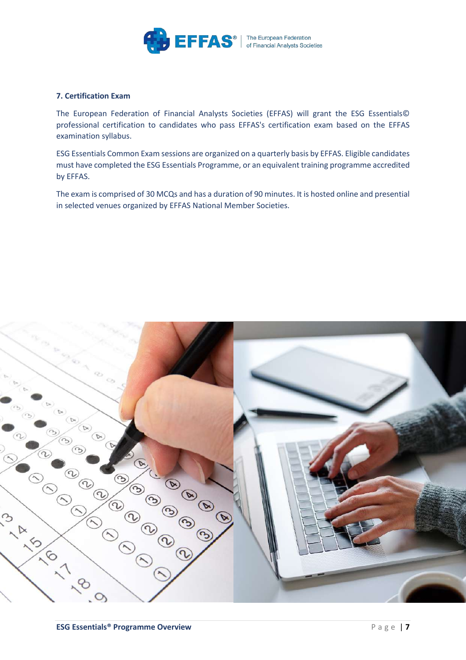

# **7. Certification Exam**

The European Federation of Financial Analysts Societies (EFFAS) will grant the ESG Essentials© professional certification to candidates who pass EFFAS's certification exam based on the EFFAS examination syllabus.

ESG Essentials Common Exam sessions are organized on a quarterly basis by EFFAS. Eligible candidates must have completed the ESG Essentials Programme, or an equivalent training programme accredited by EFFAS.

The exam is comprised of 30 MCQs and has a duration of 90 minutes. It is hosted online and presential in selected venues organized by EFFAS National Member Societies.

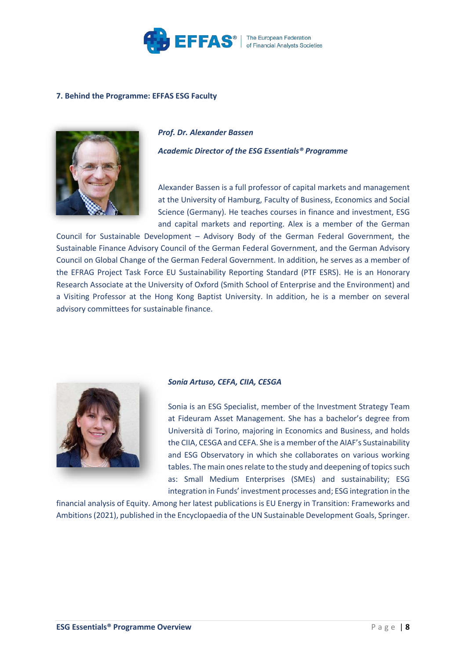

# **7. Behind the Programme: EFFAS ESG Faculty**



# *Prof. Dr. Alexander Bassen*

*Academic Director of the ESG Essentials® Programme*

Alexander Bassen is a full professor of capital markets and management at the University of Hamburg, Faculty of Business, Economics and Social Science (Germany). He teaches courses in finance and investment, ESG and capital markets and reporting. Alex is a member of the German

Council for Sustainable Development – Advisory Body of the German Federal Government, the Sustainable Finance Advisory Council of the German Federal Government, and the German Advisory Council on Global Change of the German Federal Government. In addition, he serves as a member of the EFRAG Project Task Force EU Sustainability Reporting Standard (PTF ESRS). He is an Honorary Research Associate at the University of Oxford (Smith School of Enterprise and the Environment) and a Visiting Professor at the Hong Kong Baptist University. In addition, he is a member on several advisory committees for sustainable finance.



# *Sonia Artuso, CEFA, CIIA, CESGA*

Sonia is an ESG Specialist, member of the Investment Strategy Team at Fideuram Asset Management. She has a bachelor's degree from Università di Torino, majoring in Economics and Business, and holds the CIIA, CESGA and CEFA. She is a member of the AIAF's Sustainability and ESG Observatory in which she collaborates on various working tables. The main ones relate to the study and deepening of topics such as: Small Medium Enterprises (SMEs) and sustainability; ESG integration in Funds' investment processes and; ESG integration in the

financial analysis of Equity. Among her latest publications is EU Energy in Transition: Frameworks and Ambitions (2021), published in the Encyclopaedia of the UN Sustainable Development Goals, Springer.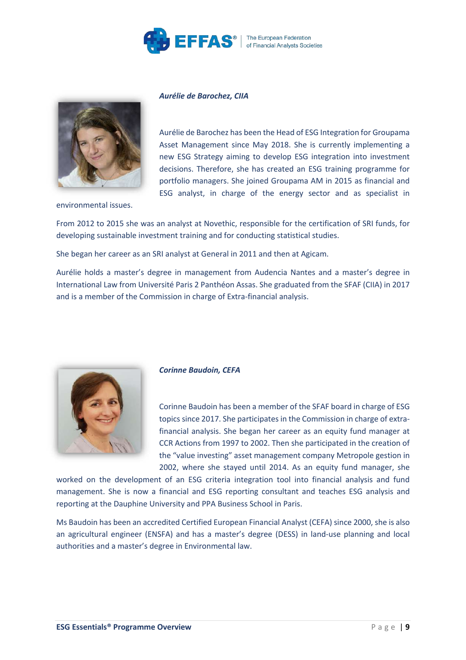

# *Aurélie de Barochez, CIIA*



Aurélie de Barochez has been the Head of ESG Integration for Groupama Asset Management since May 2018. She is currently implementing a new ESG Strategy aiming to develop ESG integration into investment decisions. Therefore, she has created an ESG training programme for portfolio managers. She joined Groupama AM in 2015 as financial and ESG analyst, in charge of the energy sector and as specialist in

environmental issues.

From 2012 to 2015 she was an analyst at Novethic, responsible for the certification of SRI funds, for developing sustainable investment training and for conducting statistical studies.

She began her career as an SRI analyst at General in 2011 and then at Agicam.

Aurélie holds a master's degree in management from Audencia Nantes and a master's degree in International Law from Université Paris 2 Panthéon Assas. She graduated from the SFAF (CIIA) in 2017 and is a member of the Commission in charge of Extra-financial analysis.



## *Corinne Baudoin, CEFA*

Corinne Baudoin has been a member of the SFAF board in charge of ESG topics since 2017. She participates in the Commission in charge of extrafinancial analysis. She began her career as an equity fund manager at CCR Actions from 1997 to 2002. Then she participated in the creation of the "value investing" asset management company Metropole gestion in 2002, where she stayed until 2014. As an equity fund manager, she

worked on the development of an ESG criteria integration tool into financial analysis and fund management. She is now a financial and ESG reporting consultant and teaches ESG analysis and reporting at the Dauphine University and PPA Business School in Paris.

Ms Baudoin has been an accredited Certified European Financial Analyst (CEFA) since 2000, she is also an agricultural engineer (ENSFA) and has a master's degree (DESS) in land-use planning and local authorities and a master's degree in Environmental law.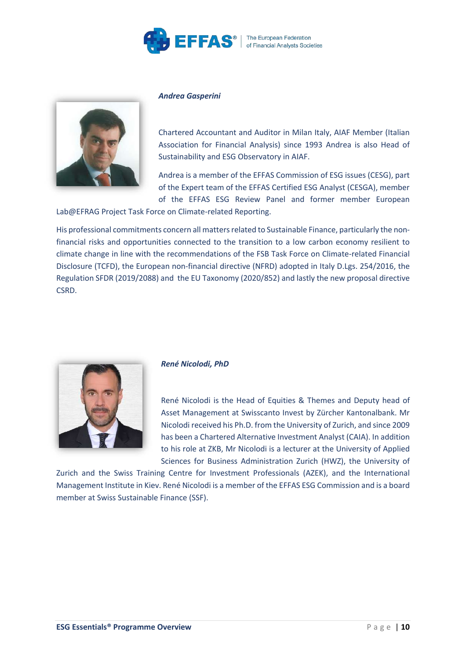

# *Andrea Gasperini*



Chartered Accountant and Auditor in Milan Italy, AIAF Member (Italian Association for Financial Analysis) since 1993 Andrea is also Head of Sustainability and ESG Observatory in AIAF.

Andrea is a member of the EFFAS Commission of ESG issues (CESG), part of the Expert team of the EFFAS Certified ESG Analyst (CESGA), member of the EFFAS ESG Review Panel and former member European

Lab@EFRAG Project Task Force on Climate-related Reporting.

His professional commitments concern all matters related to Sustainable Finance, particularly the nonfinancial risks and opportunities connected to the transition to a low carbon economy resilient to climate change in line with the recommendations of the FSB Task Force on Climate-related Financial Disclosure (TCFD), the European non-financial directive (NFRD) adopted in Italy D.Lgs. 254/2016, the Regulation SFDR (2019/2088) and the EU Taxonomy (2020/852) and lastly the new proposal directive CSRD.



# *René Nicolodi, PhD*

René Nicolodi is the Head of Equities & Themes and Deputy head of Asset Management at Swisscanto Invest by Zürcher Kantonalbank. Mr Nicolodi received his Ph.D. from the University of Zurich, and since 2009 has been a Chartered Alternative Investment Analyst (CAIA). In addition to his role at ZKB, Mr Nicolodi is a lecturer at the University of Applied Sciences for Business Administration Zurich (HWZ), the University of

Zurich and the Swiss Training Centre for Investment Professionals (AZEK), and the International Management Institute in Kiev. René Nicolodi is a member of the EFFAS ESG Commission and is a board member at Swiss Sustainable Finance (SSF).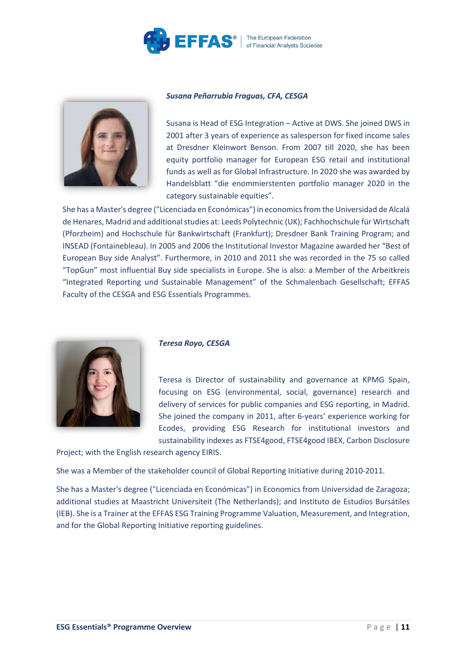

# *Susana Peñarrubia Fraguas, CFA, CESGA*



Susana is Head of ESG Integration – Active at DWS. She joined DWS in 2001 after 3 years of experience as salesperson for fixed income sales at Dresdner Kleinwort Benson. From 2007 till 2020, she has been equity portfolio manager for European ESG retail and institutional funds as well as for Global Infrastructure. In 2020 she was awarded by Handelsblatt "die enommierstenten portfolio manager 2020 in the category sustainable equities".

She has a Master's degree ("Licenciada en Económicas") in economics from the Universidad de Alcalá de Henares, Madrid and additional studies at: Leeds Polytechnic (UK); Fachhochschule für Wirtschaft (Pforzheim) and Hochschule für Bankwirtschaft (Frankfurt); Dresdner Bank Training Program; and INSEAD (Fontainebleau). In 2005 and 2006 the Institutional Investor Magazine awarded her "Best of European Buy side Analyst". Furthermore, in 2010 and 2011 she was recorded in the 75 so called "TopGun" most influential Buy side specialists in Europe. She is also: a Member of the Arbeitkreis "Integrated Reporting und Sustainable Management" of the Schmalenbach Gesellschaft; EFFAS Faculty of the CESGA and ESG Essentials Programmes.



# *Teresa Royo, CESGA*

Teresa is Director of sustainability and governance at KPMG Spain, focusing on ESG (environmental, social, governance) research and delivery of services for public companies and ESG reporting, in Madrid. She joined the company in 2011, after 6-years' experience working for Ecodes, providing ESG Research for institutional investors and sustainability indexes as FTSE4good, FTSE4good IBEX, Carbon Disclosure

Project; with the English research agency EIRIS.

She was a Member of the stakeholder council of Global Reporting Initiative during 2010-2011.

She has a Master's degree ("Licenciada en Económicas") in Economics from Universidad de Zaragoza; additional studies at Maastricht Universiteit (The Netherlands); and Instituto de Estudios Bursátiles (IEB). She is a Trainer at the EFFAS ESG Training Programme Valuation, Measurement, and Integration, and for the Global Reporting Initiative reporting guidelines.